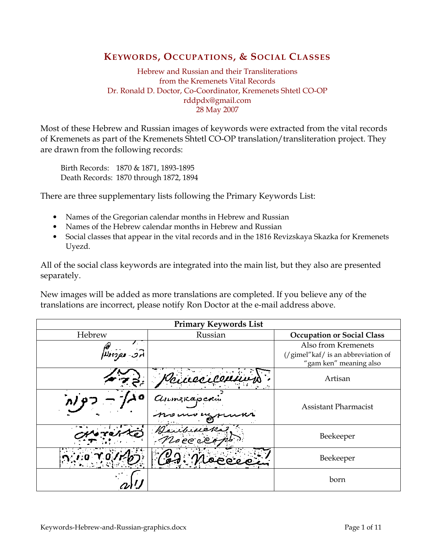### KEYWORDS, OCCUPATIONS, & SOCIAL CLASSES

Hebrew and Russian and their Transliterations from the Kremenets Vital Records Dr. Ronald D. Doctor, Co-Coordinator, Kremenets Shtetl CO-OP rddpdx@gmail.com 28 May 2007

Most of these Hebrew and Russian images of keywords were extracted from the vital records of Kremenets as part of the Kremenets Shtetl CO-OP translation/transliteration project. They are drawn from the following records:

Birth Records: 1870 & 1871, 1893-1895 Death Records: 1870 through 1872, 1894

There are three supplementary lists following the Primary Keywords List:

- Names of the Gregorian calendar months in Hebrew and Russian
- Names of the Hebrew calendar months in Hebrew and Russian
- Social classes that appear in the vital records and in the 1816 Revizskaya Skazka for Kremenets Uyezd.

All of the social class keywords are integrated into the main list, but they also are presented separately.

New images will be added as more translations are completed. If you believe any of the translations are incorrect, please notify Ron Doctor at the e-mail address above.

| <b>Primary Keywords List</b> |                        |                                                                                     |
|------------------------------|------------------------|-------------------------------------------------------------------------------------|
| Hebrew                       | Russian                | <b>Occupation or Social Class</b>                                                   |
| הפ נפחולא                    |                        | Also from Kremenets<br>(/gimel"kaf/ is an abbreviation of<br>"gam ken" meaning also |
|                              | binecice.              | Artisan                                                                             |
|                              | Annexaperin            | <b>Assistant Pharmacist</b>                                                         |
|                              | Jailuieka<br>Noce el r | Beekeeper                                                                           |
|                              |                        | Beekeeper                                                                           |
|                              |                        | born                                                                                |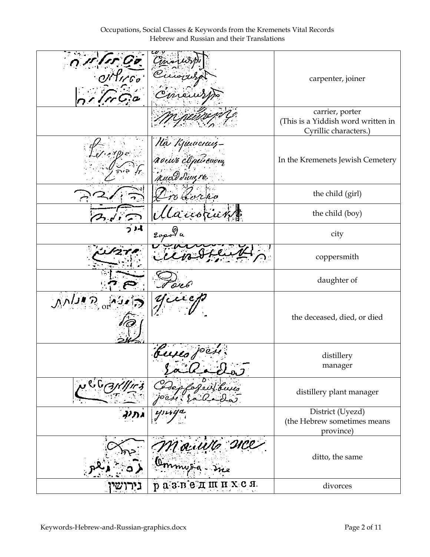|                 | Cinois<br>Current                             | carpenter, joiner                                                              |
|-----------------|-----------------------------------------------|--------------------------------------------------------------------------------|
|                 |                                               | carrier, porter<br>(This is a Yiddish word written in<br>Cyrillic characters.) |
| $f$ or $\omega$ | Na Kjudences-<br>Romo Apérevou<br>Ruad Sungre | In the Kremenets Jewish Cemetery                                               |
|                 | Oro Corno                                     | the child (girl)                                                               |
|                 | Manorat                                       | the child (boy)                                                                |
|                 | 20pola                                        | city                                                                           |
|                 |                                               | coppersmith                                                                    |
|                 | en 6                                          | daughter of                                                                    |
|                 |                                               | the deceased, died, or died                                                    |
|                 | buses for                                     | distillery<br>manager                                                          |
|                 |                                               | distillery plant manager                                                       |
|                 |                                               | District (Uyezd)<br>(the Hebrew sometimes means<br>province)                   |
|                 | Mauille<br>C                                  | ditto, the same                                                                |
| גירושי          | HXCH.<br>разведш                              | divorces                                                                       |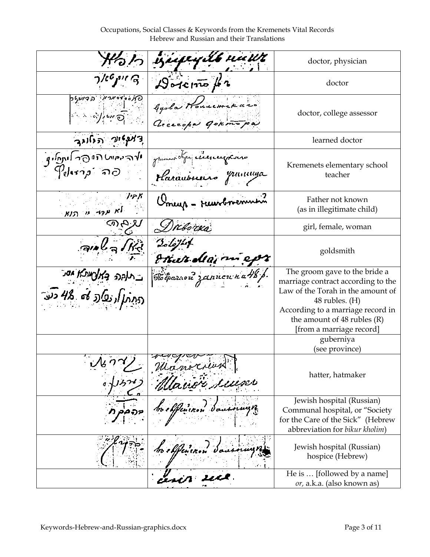Occupations, Social Classes & Keywords from the Kremenets Vital Records Hebrew and Russian and their Translations

|                                                                              | iziepegilb nuut                                   | doctor, physician                                                                                                                                                                                                                  |
|------------------------------------------------------------------------------|---------------------------------------------------|------------------------------------------------------------------------------------------------------------------------------------------------------------------------------------------------------------------------------------|
|                                                                              | $\mathcal{D}$ oterno /2                           | doctor                                                                                                                                                                                                                             |
| <u>יף העריקה ופרזיק</u> ט<br><b>Section 2</b>                                | Gooda Housemerano<br>Generation gokmopa           | doctor, college assessor                                                                                                                                                                                                           |
| דְאַנְיִאוֹי הַנְאוֹנִגְ                                                     |                                                   | learned doctor                                                                                                                                                                                                                     |
| المهدومان لتفاتحه المعاملية<br>$\mathcal P_\theta$ kra $\rho^*$ வ $\partial$ | grument dipe electronphones<br>Plarauburno pumuna | Kremenets elementary school<br>teacher                                                                                                                                                                                             |
| リアバ<br>וא ע <sub>לד</sub> ע ה <u>וא י</u>                                    | Umeup - reunbnemmen?                              | Father not known<br>(as in illegitimate child)                                                                                                                                                                                     |
|                                                                              | Dreborxa                                          | girl, female, woman                                                                                                                                                                                                                |
|                                                                              | $2$ oloj <sup>2</sup> 4<br>Ethut dias map         | goldsmith                                                                                                                                                                                                                          |
| ו גמנה במצועות מידע העריים היותר.<br>דבת תואן הפלדב לחי ביצר דער             | Tobarrou zannou na48 p                            | The groom gave to the bride a<br>marriage contract according to the<br>Law of the Torah in the amount of<br>$48$ rubles. $(H)$<br>According to a marriage record in<br>the amount of $48$ rubles $(R)$<br>[from a marriage record] |
|                                                                              |                                                   | guberniya<br>(see province)                                                                                                                                                                                                        |
| $-\mathcal{N}$                                                               |                                                   | hatter, hatmaker                                                                                                                                                                                                                   |
|                                                                              |                                                   | Jewish hospital (Russian)<br>Communal hospital, or "Society<br>for the Care of the Sick" (Hebrew<br>abbreviation for bikur kholim)                                                                                                 |
|                                                                              |                                                   | Jewish hospital (Russian)<br>hospice (Hebrew)                                                                                                                                                                                      |
|                                                                              |                                                   | He is  [followed by a name]<br>or, a.k.a. (also known as)                                                                                                                                                                          |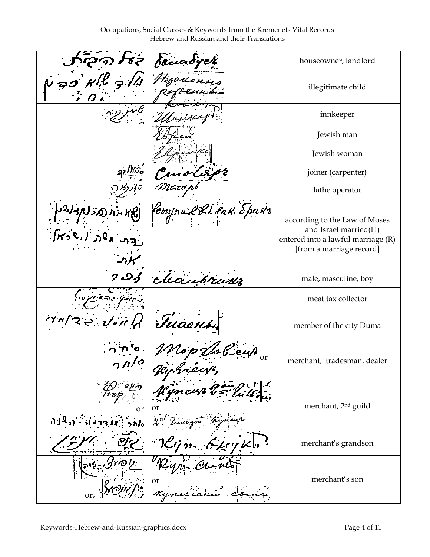Occupations, Social Classes & Keywords from the Kremenets Vital Records Hebrew and Russian and their Translations

|                                   | denadyck               | houseowner, landlord                                                                                                     |
|-----------------------------------|------------------------|--------------------------------------------------------------------------------------------------------------------------|
|                                   | tezanorino             | illegitimate child                                                                                                       |
|                                   |                        | innkeeper                                                                                                                |
|                                   |                        | Jewish man                                                                                                               |
|                                   |                        | Jewish woman                                                                                                             |
|                                   | Centley                | joiner (carpenter)                                                                                                       |
|                                   |                        | lathe operator                                                                                                           |
| بهديعها<br>ાજિલા ( <i>દર્જ</i> ત) | Compru 281. sak. Spakr | according to the Law of Moses<br>and Israel married(H)<br>entered into a lawful marriage (R)<br>[from a marriage record] |
| ر د                               | cleanbrurer            | male, masculine, boy                                                                                                     |
|                                   |                        | meat tax collector                                                                                                       |
| Walse Jon                         | Tuaenti                | member of the city Duma                                                                                                  |
|                                   | <b>or</b>              | merchant, tradesman, dealer                                                                                              |
| or                                | or                     | merchant, 2 <sup>nd</sup> guild                                                                                          |
|                                   |                        | merchant's grandson                                                                                                      |
|                                   | or<br>Kyn              | merchant's son                                                                                                           |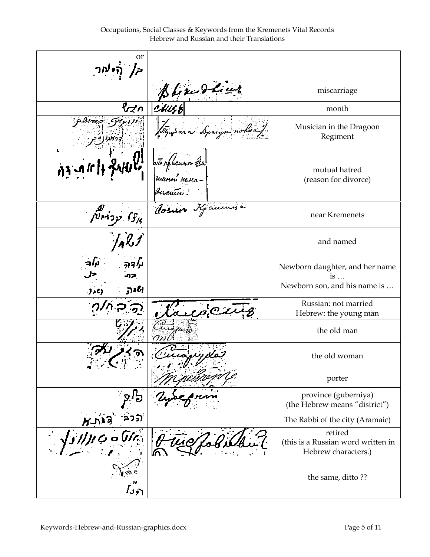Occupations, Social Classes & Keywords from the Kremenets Vital Records Hebrew and Russian and their Translations

| or<br><i>ק </i> היאור          |                                                |                                                                              |
|--------------------------------|------------------------------------------------|------------------------------------------------------------------------------|
|                                | Blexand heur                                   | miscarriage                                                                  |
| ∧יֲל                           | cuit,                                          | month                                                                        |
|                                | Thy ar a Sparyn rolua).                        | Musician in the Dragoon<br>Regiment                                          |
| ¥÷<br>的动作性                     | sto phurann ésa<br> ruunon nenn -<br> ruentu : | mutual hatred<br>(reason for divorce)                                        |
| $\frac{1}{\sqrt{2}r^{3}q^{2}}$ | Cosuro He anima                                | near Kremenets                                                               |
|                                |                                                | and named                                                                    |
| (ن د ټ                         |                                                | Newborn daughter, and her name<br>$is \dots$<br>Newborn son, and his name is |
|                                | ලය                                             | Russian: not married<br>Hebrew: the young man                                |
|                                |                                                | the old man                                                                  |
|                                |                                                | the old woman                                                                |
|                                |                                                | porter                                                                       |
|                                |                                                | province (guberniya)<br>(the Hebrew means "district")                        |
| ລາກ                            |                                                | The Rabbi of the city (Aramaic)                                              |
|                                |                                                | retired<br>(this is a Russian word written in<br>Hebrew characters.)         |
| `ر ر ا                         |                                                | the same, ditto??                                                            |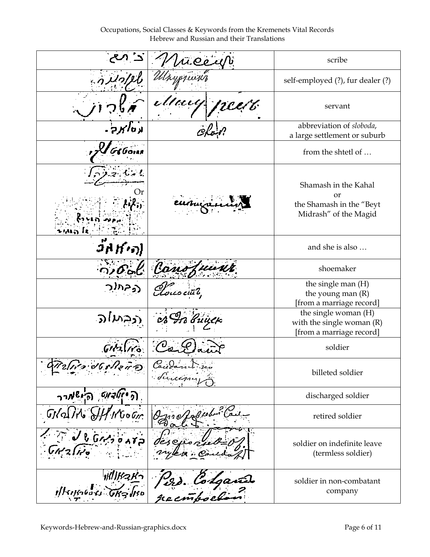Occupations, Social Classes & Keywords from the Kremenets Vital Records Hebrew and Russian and their Translations

|                                           | üCecUb            | scribe                                                                          |
|-------------------------------------------|-------------------|---------------------------------------------------------------------------------|
|                                           |                   | self-employed (?), fur dealer (?)                                               |
|                                           | elkuy             | servant                                                                         |
|                                           |                   | abbreviation of sloboda,<br>a large settlement or suburb                        |
|                                           |                   | from the shtetl of                                                              |
| usan Is                                   |                   | Shamash in the Kahal<br>or<br>the Shamash in the "Beyt<br>Midrash" of the Magid |
|                                           |                   | and she is also                                                                 |
| $O$ or $C$                                | Kans              | shoemaker                                                                       |
|                                           |                   | the single man (H)<br>the young man $(R)$<br>[from a marriage record]           |
| ىدا د                                     | дл вицею          | the single woman (H)<br>with the single woman (R)<br>[from a marriage record]   |
|                                           | υ                 | soldier                                                                         |
|                                           | Lecèrn.<br>dición | billeted soldier                                                                |
| ה <i>יווארוס הישאיר</i> ר                 |                   | discharged soldier                                                              |
|                                           | 11 O              | retired soldier                                                                 |
| しらん                                       |                   | soldier on indefinite leave<br>(termless soldier)                               |
| <b>州形っとつ</b><br><i><b>illsophodes</b></i> | 122. Codgard      | soldier in non-combatant<br>company                                             |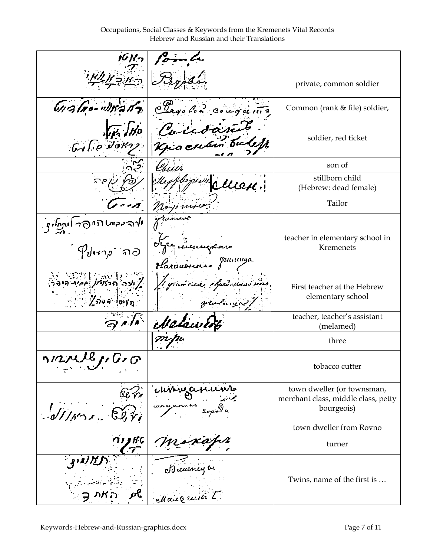Occupations, Social Classes & Keywords from the Kremenets Vital Records Hebrew and Russian and their Translations

|                                                                                                                                                                                                                                                                                                                                                            | formbe                               |                                                                                 |
|------------------------------------------------------------------------------------------------------------------------------------------------------------------------------------------------------------------------------------------------------------------------------------------------------------------------------------------------------------|--------------------------------------|---------------------------------------------------------------------------------|
|                                                                                                                                                                                                                                                                                                                                                            | Isyolar                              | private, common soldier                                                         |
| Grafno-Wrant                                                                                                                                                                                                                                                                                                                                               | Clayobon cougeting                   | Common (rank & file) soldier,                                                   |
| $G_1$ $g$ $\partial$ $\partial$ $g$                                                                                                                                                                                                                                                                                                                        | Coicoant bules                       | soldier, red ticket                                                             |
|                                                                                                                                                                                                                                                                                                                                                            |                                      | son of                                                                          |
|                                                                                                                                                                                                                                                                                                                                                            | Thogain.<br>cuen:                    | stillborn child<br>(Hebrew: dead female)                                        |
|                                                                                                                                                                                                                                                                                                                                                            | nopmic                               | Tailor                                                                          |
| $\frac{1}{2}$<br>$\mathcal{P}_\theta$ dera $\rho^+$ and                                                                                                                                                                                                                                                                                                    | I pe incurrence<br>Harauburus pumuna | teacher in elementary school in<br>Kremenets                                    |
| $\sum_{i=1}^N\sum_{j=1}^{N-1}\sum_{j=1}^{N-1}\sum_{j=1}^{N-1}\sum_{j=1}^{N-1}\sum_{j=1}^{N-1}\sum_{j=1}^{N-1}\sum_{j=1}^{N-1}\sum_{j=1}^{N-1}\sum_{j=1}^{N-1}\sum_{j=1}^{N-1}\sum_{j=1}^{N-1}\sum_{j=1}^{N-1}\sum_{j=1}^{N-1}\sum_{j=1}^{N-1}\sum_{j=1}^{N-1}\sum_{j=1}^{N-1}\sum_{j=1}^{N-1}\sum_{j=1}^{N-1}\sum_{j=1}^{N-1}\sum$<br>ື່ <i>ໃ</i> ລະຈີ ໜγກ | 1 yumani chaeuckasa nar.<br>yurnua)  | First teacher at the Hebrew<br>elementary school                                |
|                                                                                                                                                                                                                                                                                                                                                            | Metawe                               | teacher, teacher's assistant<br>(melamed)                                       |
|                                                                                                                                                                                                                                                                                                                                                            |                                      | three                                                                           |
| nnull1, G, G                                                                                                                                                                                                                                                                                                                                               |                                      | tobacco cutter                                                                  |
|                                                                                                                                                                                                                                                                                                                                                            | syanî                                | town dweller (or townsman,<br>merchant class, middle class, petty<br>bourgeois) |
|                                                                                                                                                                                                                                                                                                                                                            |                                      | town dweller from Rovno                                                         |
|                                                                                                                                                                                                                                                                                                                                                            |                                      | turner                                                                          |
|                                                                                                                                                                                                                                                                                                                                                            | A rusney be<br>Maugue                | Twins, name of the first is                                                     |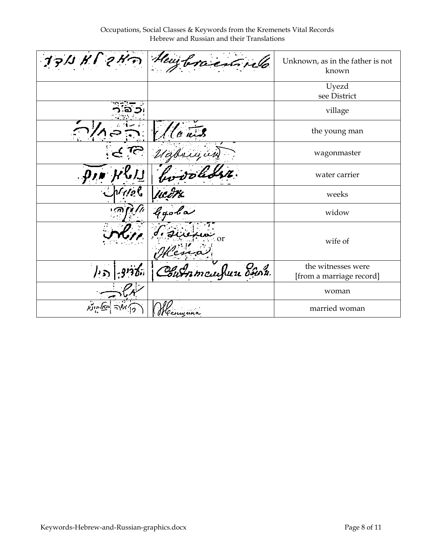Occupations, Social Classes & Keywords from the Kremenets Vital Records Hebrew and Russian and their Translations

|          | 1711 H P 2 Hm Heurbracentinello | Unknown, as in the father is not<br>known      |
|----------|---------------------------------|------------------------------------------------|
|          |                                 | Uyezd<br>see District                          |
|          |                                 | village                                        |
|          |                                 | the young man                                  |
|          |                                 | wagonmaster                                    |
|          |                                 | water carrier                                  |
|          |                                 | weeks                                          |
|          | Hedth<br>Gyobo                  | widow                                          |
|          | <b>or</b>                       | wife of                                        |
| דבין     | Chummcuhun dann                 | the witnesses were<br>[from a marriage record] |
|          |                                 | woman                                          |
| האל הונו | enwana                          | married woman                                  |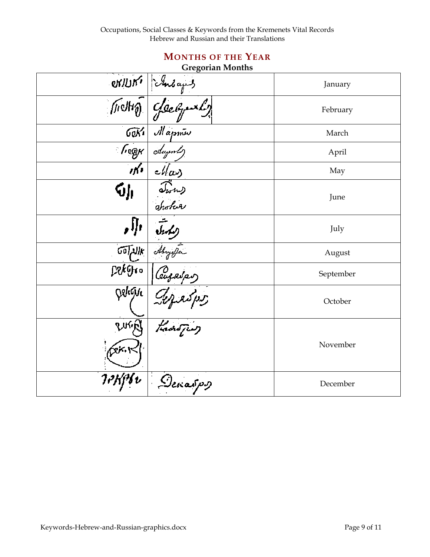# MONTHS OF THE YEAR

### Gregorian Months

|                           | OVILIN' Lubayes     | January   |
|---------------------------|---------------------|-----------|
|                           |                     | February  |
| GeKi                      | Mapme               | March     |
| ′∙ছ@⊬                     | coluyents           | April     |
| $\mathbf{m}$              | $\epsilon$ llas     | May       |
| Ńμ                        | Twhy<br>another     | June      |
|                           |                     | July      |
| $\widetilde{\mathcal{W}}$ | Abrycfer            | August    |
| tGko.                     | Ceuzaips            | September |
| Deligic                   | approp.<br>That fig | October   |
| ny,<br>źκ.                |                     | November  |
|                           | Denaspy             | December  |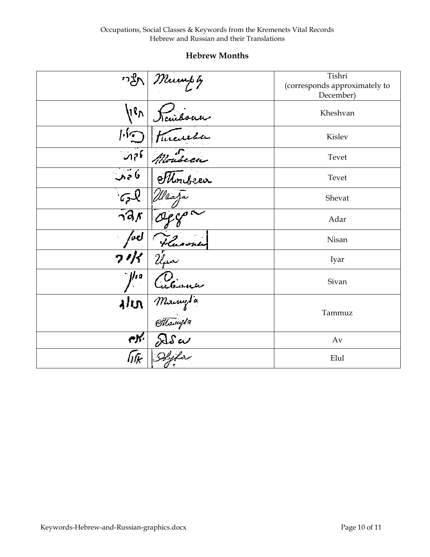#### Hebrew Months

| ע"י                      | $\sqrt{\frac{m_{\mathrm{turb}}}{g}}$ | Tishri<br>(corresponds approximately to<br>December) |
|--------------------------|--------------------------------------|------------------------------------------------------|
| $\mathfrak{g}_{\Lambda}$ |                                      | Kheshvan                                             |
|                          |                                      | Kislev                                               |
|                          | Monseca                              | Tevet                                                |
| نا ۾ آبا                 |                                      | Tevet                                                |
|                          | Waaja                                | Shevat                                               |
| $\gamma$ dr              |                                      | Adar                                                 |
| ل ما                     | Fluorn                               | Nisan                                                |
|                          |                                      | Iyar                                                 |
| l/ro                     |                                      | Sivan                                                |
| תולג                     | Cuteward<br>Mangla<br>Ottawysa       | Tammuz                                               |
| eK.                      |                                      | Av                                                   |
| िसि                      |                                      | Elul                                                 |